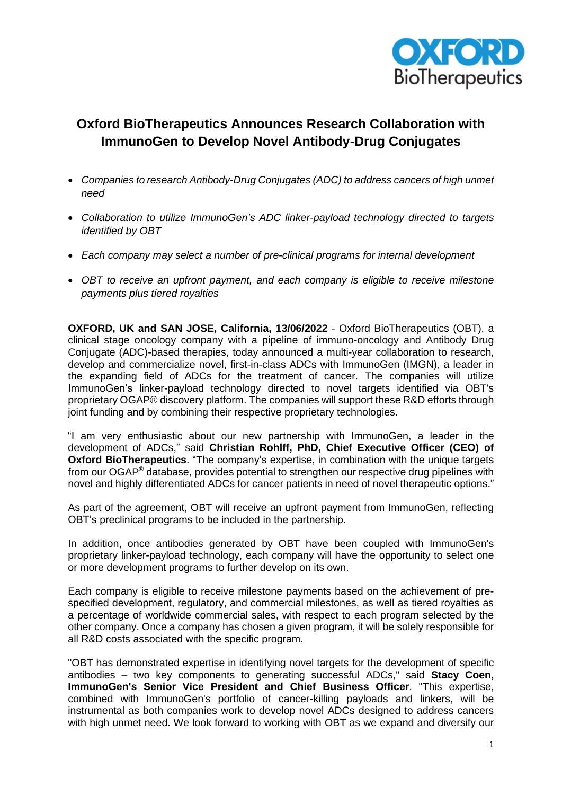

# **Oxford BioTherapeutics Announces Research Collaboration with ImmunoGen to Develop Novel Antibody-Drug Conjugates**

- *Companies to research Antibody-Drug Conjugates (ADC) to address cancers of high unmet need*
- *Collaboration to utilize ImmunoGen's ADC linker-payload technology directed to targets identified by OBT*
- *Each company may select a number of pre-clinical programs for internal development*
- *OBT to receive an upfront payment, and each company is eligible to receive milestone payments plus tiered royalties*

**OXFORD, UK and SAN JOSE, California, 13/06/2022** - Oxford BioTherapeutics (OBT), a clinical stage oncology company with a pipeline of immuno-oncology and Antibody Drug Conjugate (ADC)-based therapies, today announced a multi-year collaboration to research, develop and commercialize novel, first-in-class ADCs with ImmunoGen (IMGN), a leader in the expanding field of ADCs for the treatment of cancer. The companies will utilize ImmunoGen's linker-payload technology directed to novel targets identified via OBT's proprietary OGAP® discovery platform. The companies will support these R&D efforts through joint funding and by combining their respective proprietary technologies.

"I am very enthusiastic about our new partnership with ImmunoGen, a leader in the development of ADCs," said **Christian Rohlff, PhD, Chief Executive Officer (CEO) of Oxford BioTherapeutics**. "The company's expertise, in combination with the unique targets from our OGAP® database, provides potential to strengthen our respective drug pipelines with novel and highly differentiated ADCs for cancer patients in need of novel therapeutic options."

As part of the agreement, OBT will receive an upfront payment from ImmunoGen, reflecting OBT's preclinical programs to be included in the partnership.

In addition, once antibodies generated by OBT have been coupled with ImmunoGen's proprietary linker-payload technology, each company will have the opportunity to select one or more development programs to further develop on its own.

Each company is eligible to receive milestone payments based on the achievement of prespecified development, regulatory, and commercial milestones, as well as tiered royalties as a percentage of worldwide commercial sales, with respect to each program selected by the other company. Once a company has chosen a given program, it will be solely responsible for all R&D costs associated with the specific program.

"OBT has demonstrated expertise in identifying novel targets for the development of specific antibodies – two key components to generating successful ADCs," said **Stacy Coen, ImmunoGen's Senior Vice President and Chief Business Officer**. "This expertise, combined with ImmunoGen's portfolio of cancer-killing payloads and linkers, will be instrumental as both companies work to develop novel ADCs designed to address cancers with high unmet need. We look forward to working with OBT as we expand and diversify our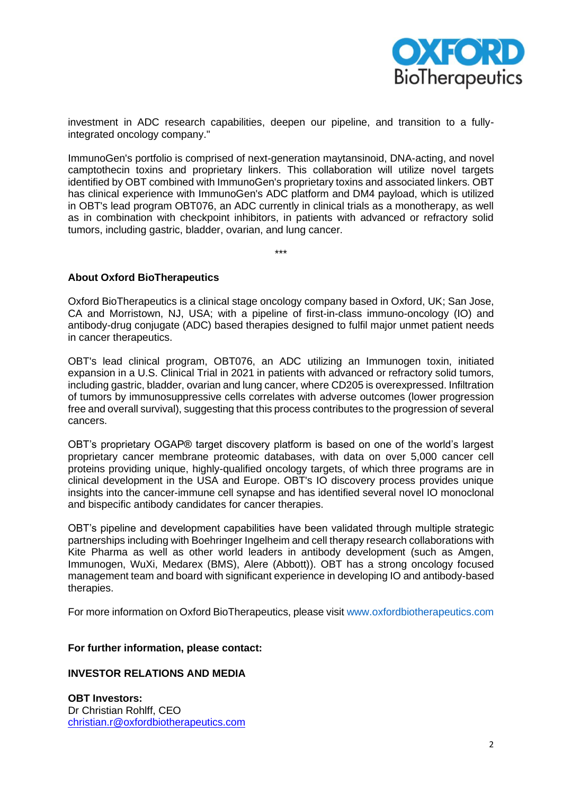

investment in ADC research capabilities, deepen our pipeline, and transition to a fullyintegrated oncology company."

ImmunoGen's portfolio is comprised of next-generation maytansinoid, DNA-acting, and novel camptothecin toxins and proprietary linkers. This collaboration will utilize novel targets identified by OBT combined with ImmunoGen's proprietary toxins and associated linkers. OBT has clinical experience with ImmunoGen's ADC platform and DM4 payload, which is utilized in OBT's lead program OBT076, an ADC currently in clinical trials as a monotherapy, as well as in combination with checkpoint inhibitors, in patients with advanced or refractory solid tumors, including gastric, bladder, ovarian, and lung cancer.

\*\*\*

## **About Oxford BioTherapeutics**

Oxford BioTherapeutics is a clinical stage oncology company based in Oxford, UK; San Jose, CA and Morristown, NJ, USA; with a pipeline of first-in-class immuno-oncology (IO) and antibody-drug conjugate (ADC) based therapies designed to fulfil major unmet patient needs in cancer therapeutics.

OBT's lead clinical program, OBT076, an ADC utilizing an Immunogen toxin, initiated expansion in a U.S. Clinical Trial in 2021 in patients with advanced or refractory solid tumors, including gastric, bladder, ovarian and lung cancer, where CD205 is overexpressed. Infiltration of tumors by immunosuppressive cells correlates with adverse outcomes (lower progression free and overall survival), suggesting that this process contributes to the progression of several cancers.

OBT's proprietary OGAP® target discovery platform is based on one of the world's largest proprietary cancer membrane proteomic databases, with data on over 5,000 cancer cell proteins providing unique, highly-qualified oncology targets, of which three programs are in clinical development in the USA and Europe. OBT's IO discovery process provides unique insights into the cancer-immune cell synapse and has identified several novel IO monoclonal and bispecific antibody candidates for cancer therapies.

OBT's pipeline and development capabilities have been validated through multiple strategic partnerships including with Boehringer Ingelheim and cell therapy research collaborations with Kite Pharma as well as other world leaders in antibody development (such as Amgen, Immunogen, WuXi, Medarex (BMS), Alere (Abbott)). OBT has a strong oncology focused management team and board with significant experience in developing IO and antibody-based therapies.

For more information on Oxford BioTherapeutics, please visit www.oxfordbiotherapeutics.com

## **For further information, please contact:**

### **INVESTOR RELATIONS AND MEDIA**

**OBT Investors:** Dr Christian Rohlff, CEO [christian.r@oxfordbiotherapeutics.com](mailto:christian.r@oxfordbiotherapeutics.com)